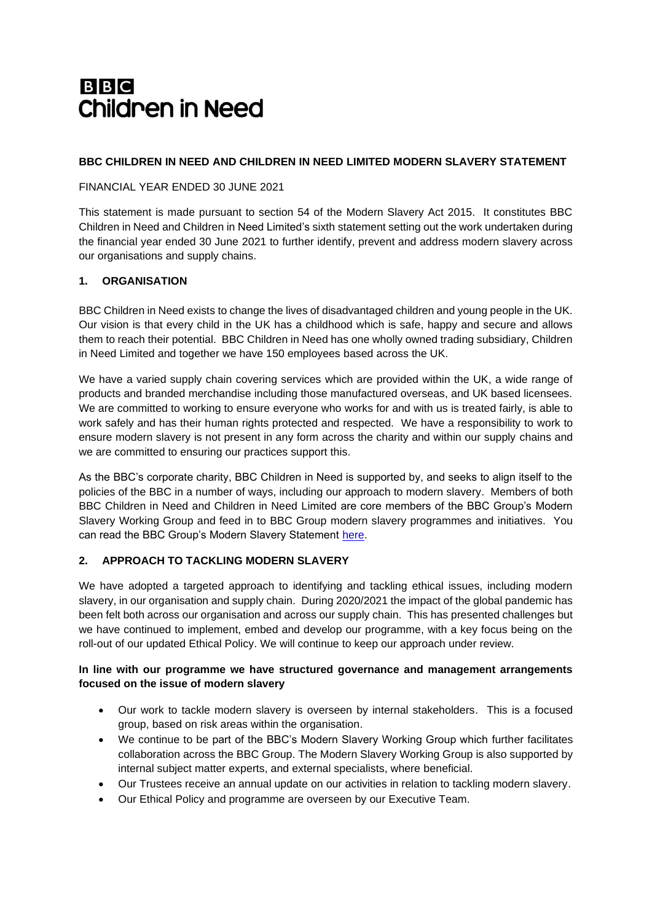# **BBC Children in Need**

### **BBC CHILDREN IN NEED AND CHILDREN IN NEED LIMITED MODERN SLAVERY STATEMENT**

#### FINANCIAL YEAR ENDED 30 JUNE 2021

This statement is made pursuant to section 54 of the Modern Slavery Act 2015. It constitutes BBC Children in Need and Children in Need Limited's sixth statement setting out the work undertaken during the financial year ended 30 June 2021 to further identify, prevent and address modern slavery across our organisations and supply chains.

### **1. ORGANISATION**

BBC Children in Need exists to change the lives of disadvantaged children and young people in the UK. Our vision is that every child in the UK has a childhood which is safe, happy and secure and allows them to reach their potential. BBC Children in Need has one wholly owned trading subsidiary, Children in Need Limited and together we have 150 employees based across the UK.

We have a varied supply chain covering services which are provided within the UK, a wide range of products and branded merchandise including those manufactured overseas, and UK based licensees. We are committed to working to ensure everyone who works for and with us is treated fairly, is able to work safely and has their human rights protected and respected. We have a responsibility to work to ensure modern slavery is not present in any form across the charity and within our supply chains and we are committed to ensuring our practices support this.

As the BBC's corporate charity, BBC Children in Need is supported by, and seeks to align itself to the policies of the BBC in a number of ways, including our approach to modern slavery. Members of both BBC Children in Need and Children in Need Limited are core members of the BBC Group's Modern Slavery Working Group and feed in to BBC Group modern slavery programmes and initiatives. You can read the BBC Group's Modern Slavery Statement [here.](https://downloads.bbc.co.uk/aboutthebbc/reports/reports/modern-slavery-statement-2021.pdf)

# **2. APPROACH TO TACKLING MODERN SLAVERY**

We have adopted a targeted approach to identifying and tackling ethical issues, including modern slavery, in our organisation and supply chain. During 2020/2021 the impact of the global pandemic has been felt both across our organisation and across our supply chain. This has presented challenges but we have continued to implement, embed and develop our programme, with a key focus being on the roll-out of our updated Ethical Policy. We will continue to keep our approach under review.

### **In line with our programme we have structured governance and management arrangements focused on the issue of modern slavery**

- Our work to tackle modern slavery is overseen by internal stakeholders. This is a focused group, based on risk areas within the organisation.
- We continue to be part of the BBC's Modern Slavery Working Group which further facilitates collaboration across the BBC Group. The Modern Slavery Working Group is also supported by internal subject matter experts, and external specialists, where beneficial.
- Our Trustees receive an annual update on our activities in relation to tackling modern slavery.
- Our Ethical Policy and programme are overseen by our Executive Team.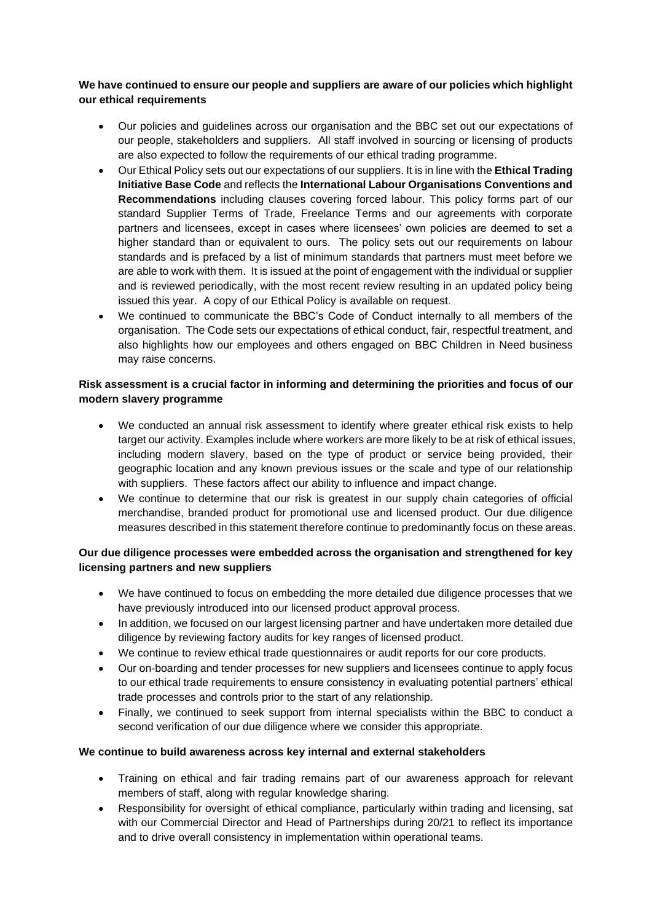### **We have continued to ensure our people and suppliers are aware of our policies which highlight our ethical requirements**

- Our policies and guidelines across our organisation and the BBC set out our expectations of our people, stakeholders and suppliers. All staff involved in sourcing or licensing of products are also expected to follow the requirements of our ethical trading programme.
- Our Ethical Policy sets out our expectations of our suppliers. It is in line with the **Ethical Trading Initiative Base Code** and reflects the **International Labour Organisations Conventions and Recommendations** including clauses covering forced labour. This policy forms part of our standard Supplier Terms of Trade, Freelance Terms and our agreements with corporate partners and licensees, except in cases where licensees' own policies are deemed to set a higher standard than or equivalent to ours. The policy sets out our requirements on labour standards and is prefaced by a list of minimum standards that partners must meet before we are able to work with them. It is issued at the point of engagement with the individual or supplier and is reviewed periodically, with the most recent review resulting in an updated policy being issued this year. A copy of our Ethical Policy is available on request.
- We continued to communicate the BBC's Code of Conduct internally to all members of the organisation. The Code sets our expectations of ethical conduct, fair, respectful treatment, and also highlights how our employees and others engaged on BBC Children in Need business may raise concerns.

# **Risk assessment is a crucial factor in informing and determining the priorities and focus of our modern slavery programme**

- We conducted an annual risk assessment to identify where greater ethical risk exists to help target our activity. Examples include where workers are more likely to be at risk of ethical issues, including modern slavery, based on the type of product or service being provided, their geographic location and any known previous issues or the scale and type of our relationship with suppliers. These factors affect our ability to influence and impact change.
- We continue to determine that our risk is greatest in our supply chain categories of official merchandise, branded product for promotional use and licensed product. Our due diligence measures described in this statement therefore continue to predominantly focus on these areas.

# **Our due diligence processes were embedded across the organisation and strengthened for key licensing partners and new suppliers**

- We have continued to focus on embedding the more detailed due diligence processes that we have previously introduced into our licensed product approval process.
- In addition, we focused on our largest licensing partner and have undertaken more detailed due diligence by reviewing factory audits for key ranges of licensed product.
- We continue to review ethical trade questionnaires or audit reports for our core products.
- Our on-boarding and tender processes for new suppliers and licensees continue to apply focus to our ethical trade requirements to ensure consistency in evaluating potential partners' ethical trade processes and controls prior to the start of any relationship.
- Finally, we continued to seek support from internal specialists within the BBC to conduct a second verification of our due diligence where we consider this appropriate.

#### **We continue to build awareness across key internal and external stakeholders**

- Training on ethical and fair trading remains part of our awareness approach for relevant members of staff, along with regular knowledge sharing.
- Responsibility for oversight of ethical compliance, particularly within trading and licensing, sat with our Commercial Director and Head of Partnerships during 20/21 to reflect its importance and to drive overall consistency in implementation within operational teams.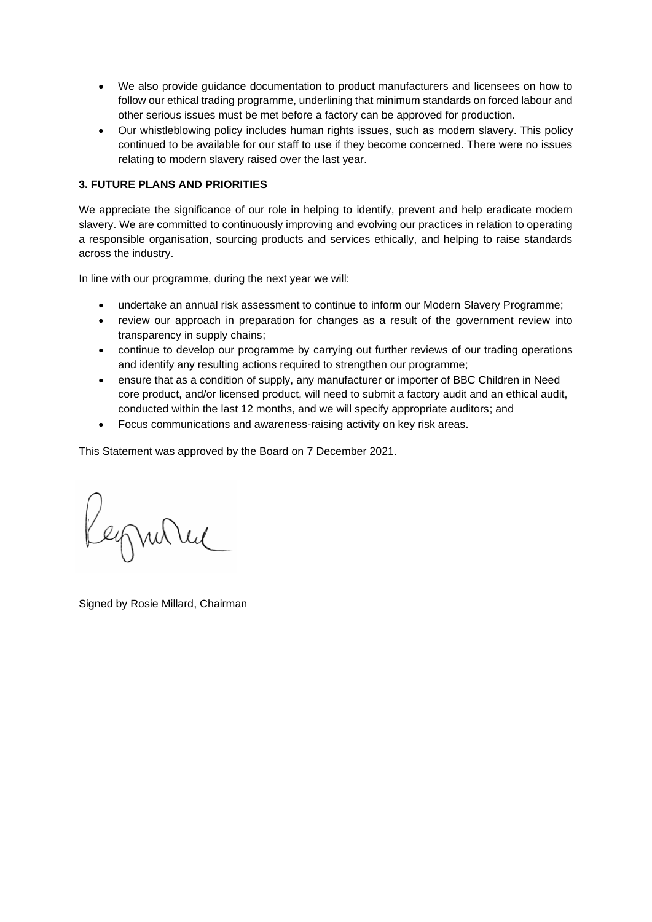- We also provide guidance documentation to product manufacturers and licensees on how to follow our ethical trading programme, underlining that minimum standards on forced labour and other serious issues must be met before a factory can be approved for production.
- Our whistleblowing policy includes human rights issues, such as modern slavery. This policy continued to be available for our staff to use if they become concerned. There were no issues relating to modern slavery raised over the last year.

# **3. FUTURE PLANS AND PRIORITIES**

We appreciate the significance of our role in helping to identify, prevent and help eradicate modern slavery. We are committed to continuously improving and evolving our practices in relation to operating a responsible organisation, sourcing products and services ethically, and helping to raise standards across the industry.

In line with our programme, during the next year we will:

- undertake an annual risk assessment to continue to inform our Modern Slavery Programme;
- review our approach in preparation for changes as a result of the government review into transparency in supply chains;
- continue to develop our programme by carrying out further reviews of our trading operations and identify any resulting actions required to strengthen our programme;
- ensure that as a condition of supply, any manufacturer or importer of BBC Children in Need core product, and/or licensed product, will need to submit a factory audit and an ethical audit, conducted within the last 12 months, and we will specify appropriate auditors; and
- Focus communications and awareness-raising activity on key risk areas.

This Statement was approved by the Board on 7 December 2021.

Keymond

Signed by Rosie Millard, Chairman